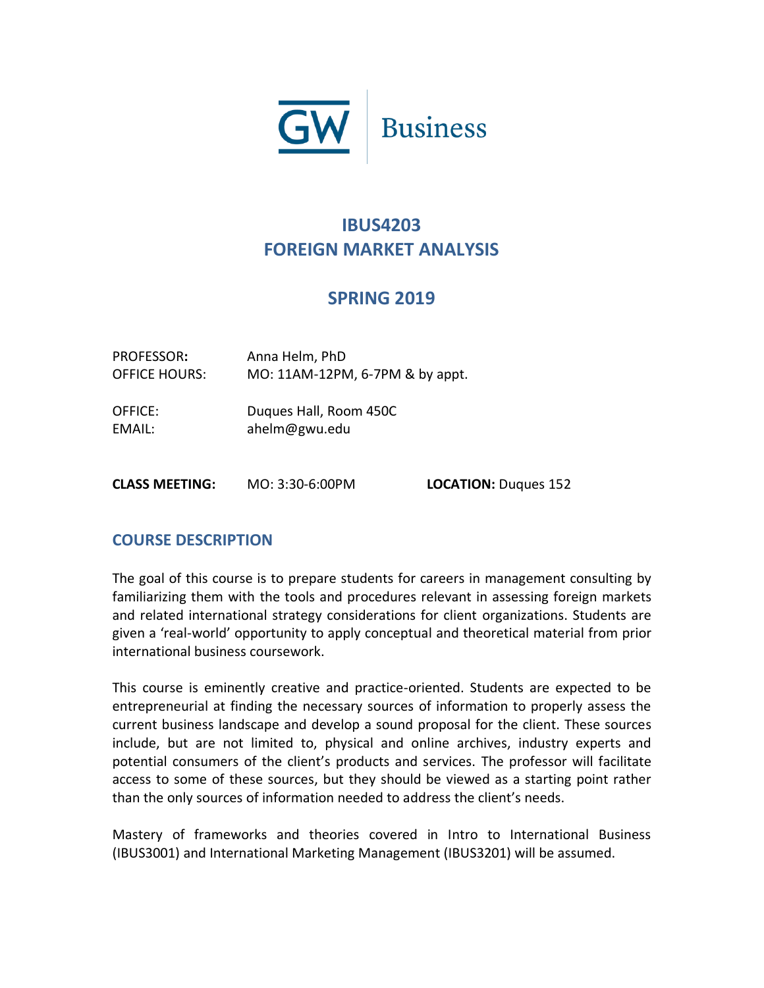

# **IBUS4203 FOREIGN MARKET ANALYSIS**

# **SPRING 2019**

| PROFESSOR:<br><b>OFFICE HOURS:</b> | Anna Helm, PhD<br>MO: 11AM-12PM, 6-7PM & by appt. |                             |
|------------------------------------|---------------------------------------------------|-----------------------------|
| OFFICE:<br>EMAIL:                  | Duques Hall, Room 450C<br>ahelm@gwu.edu           |                             |
| <b>CLASS MEETING:</b>              | MO: 3:30-6:00PM                                   | <b>LOCATION: Dugues 152</b> |

# **COURSE DESCRIPTION**

The goal of this course is to prepare students for careers in management consulting by familiarizing them with the tools and procedures relevant in assessing foreign markets and related international strategy considerations for client organizations. Students are given a 'real-world' opportunity to apply conceptual and theoretical material from prior international business coursework.

This course is eminently creative and practice-oriented. Students are expected to be entrepreneurial at finding the necessary sources of information to properly assess the current business landscape and develop a sound proposal for the client. These sources include, but are not limited to, physical and online archives, industry experts and potential consumers of the client's products and services. The professor will facilitate access to some of these sources, but they should be viewed as a starting point rather than the only sources of information needed to address the client's needs.

Mastery of frameworks and theories covered in Intro to International Business (IBUS3001) and International Marketing Management (IBUS3201) will be assumed.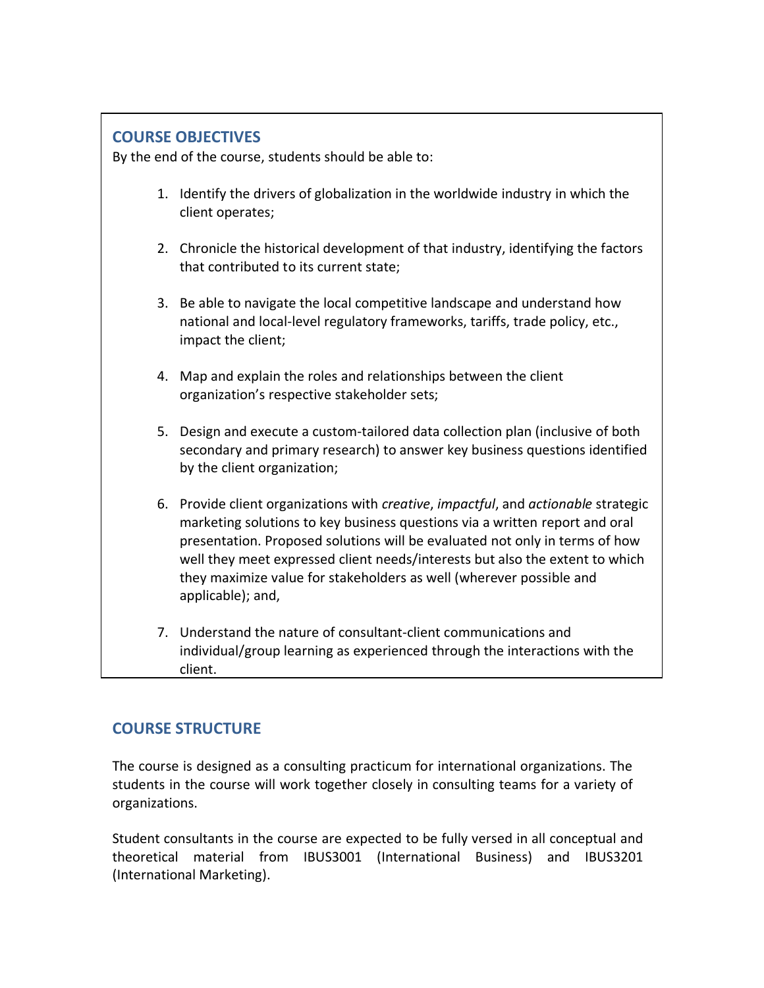# **COURSE OBJECTIVES**

By the end of the course, students should be able to:

- 1. Identify the drivers of globalization in the worldwide industry in which the client operates;
- 2. Chronicle the historical development of that industry, identifying the factors that contributed to its current state;
- 3. Be able to navigate the local competitive landscape and understand how national and local-level regulatory frameworks, tariffs, trade policy, etc., impact the client;
- 4. Map and explain the roles and relationships between the client organization's respective stakeholder sets;
- 5. Design and execute a custom-tailored data collection plan (inclusive of both secondary and primary research) to answer key business questions identified by the client organization;
- 6. Provide client organizations with *creative*, *impactful*, and *actionable* strategic marketing solutions to key business questions via a written report and oral presentation. Proposed solutions will be evaluated not only in terms of how well they meet expressed client needs/interests but also the extent to which they maximize value for stakeholders as well (wherever possible and applicable); and,
- 7. Understand the nature of consultant-client communications and individual/group learning as experienced through the interactions with the client.

# **COURSE STRUCTURE**

The course is designed as a consulting practicum for international organizations. The students in the course will work together closely in consulting teams for a variety of organizations.

Student consultants in the course are expected to be fully versed in all conceptual and theoretical material from IBUS3001 (International Business) and IBUS3201 (International Marketing).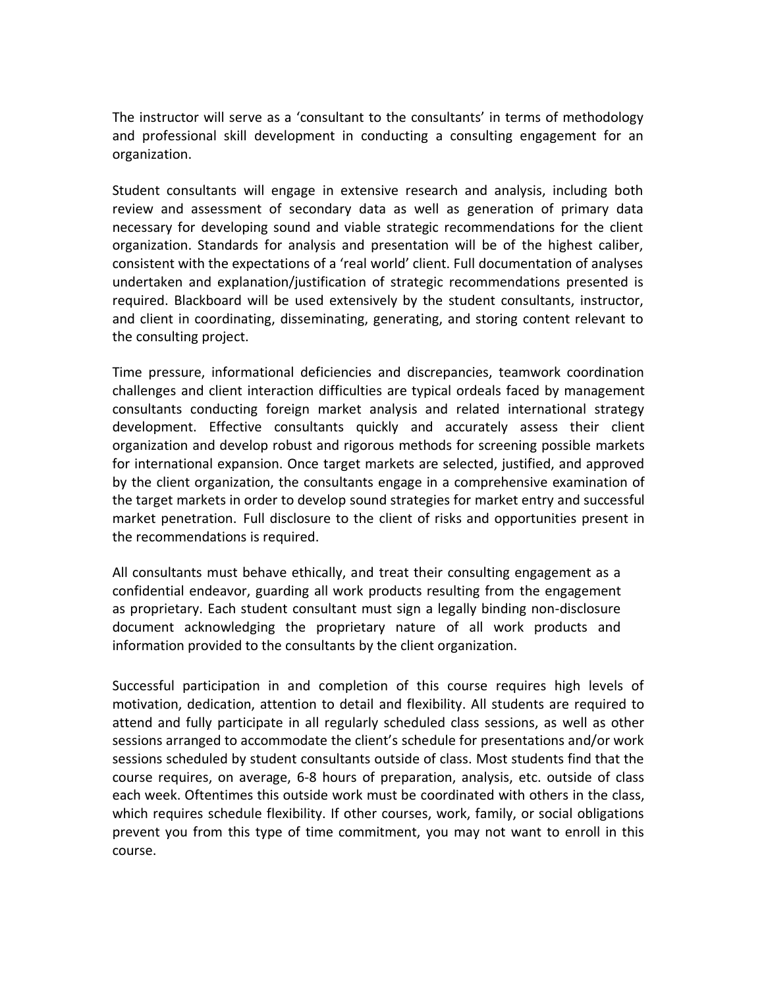The instructor will serve as a 'consultant to the consultants' in terms of methodology and professional skill development in conducting a consulting engagement for an organization.

Student consultants will engage in extensive research and analysis, including both review and assessment of secondary data as well as generation of primary data necessary for developing sound and viable strategic recommendations for the client organization. Standards for analysis and presentation will be of the highest caliber, consistent with the expectations of a 'real world' client. Full documentation of analyses undertaken and explanation/justification of strategic recommendations presented is required. Blackboard will be used extensively by the student consultants, instructor, and client in coordinating, disseminating, generating, and storing content relevant to the consulting project.

Time pressure, informational deficiencies and discrepancies, teamwork coordination challenges and client interaction difficulties are typical ordeals faced by management consultants conducting foreign market analysis and related international strategy development. Effective consultants quickly and accurately assess their client organization and develop robust and rigorous methods for screening possible markets for international expansion. Once target markets are selected, justified, and approved by the client organization, the consultants engage in a comprehensive examination of the target markets in order to develop sound strategies for market entry and successful market penetration. Full disclosure to the client of risks and opportunities present in the recommendations is required.

All consultants must behave ethically, and treat their consulting engagement as a confidential endeavor, guarding all work products resulting from the engagement as proprietary. Each student consultant must sign a legally binding non-disclosure document acknowledging the proprietary nature of all work products and information provided to the consultants by the client organization.

Successful participation in and completion of this course requires high levels of motivation, dedication, attention to detail and flexibility. All students are required to attend and fully participate in all regularly scheduled class sessions, as well as other sessions arranged to accommodate the client's schedule for presentations and/or work sessions scheduled by student consultants outside of class. Most students find that the course requires, on average, 6-8 hours of preparation, analysis, etc. outside of class each week. Oftentimes this outside work must be coordinated with others in the class, which requires schedule flexibility. If other courses, work, family, or social obligations prevent you from this type of time commitment, you may not want to enroll in this course.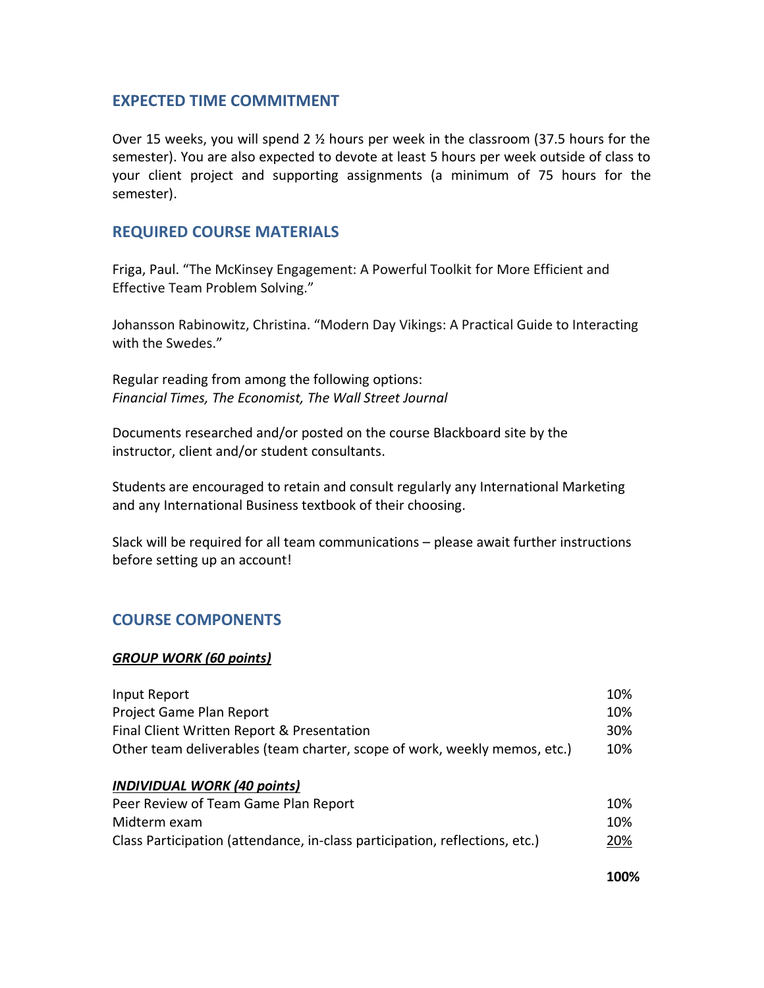### **EXPECTED TIME COMMITMENT**

Over 15 weeks, you will spend 2 ½ hours per week in the classroom (37.5 hours for the semester). You are also expected to devote at least 5 hours per week outside of class to your client project and supporting assignments (a minimum of 75 hours for the semester).

### **REQUIRED COURSE MATERIALS**

Friga, Paul. "The McKinsey Engagement: A Powerful Toolkit for More Efficient and Effective Team Problem Solving."

Johansson Rabinowitz, Christina. "Modern Day Vikings: A Practical Guide to Interacting with the Swedes."

Regular reading from among the following options: *Financial Times, The Economist, The Wall Street Journal*

Documents researched and/or posted on the course Blackboard site by the instructor, client and/or student consultants.

Students are encouraged to retain and consult regularly any International Marketing and any International Business textbook of their choosing.

Slack will be required for all team communications – please await further instructions before setting up an account!

# **COURSE COMPONENTS**

### *GROUP WORK (60 points)*

| Input Report                                                                |  |
|-----------------------------------------------------------------------------|--|
| Project Game Plan Report                                                    |  |
| Final Client Written Report & Presentation                                  |  |
| Other team deliverables (team charter, scope of work, weekly memos, etc.)   |  |
|                                                                             |  |
| <b>INDIVIDUAL WORK (40 points)</b>                                          |  |
| Peer Review of Team Game Plan Report                                        |  |
| Midterm exam                                                                |  |
| Class Participation (attendance, in-class participation, reflections, etc.) |  |

 **100%**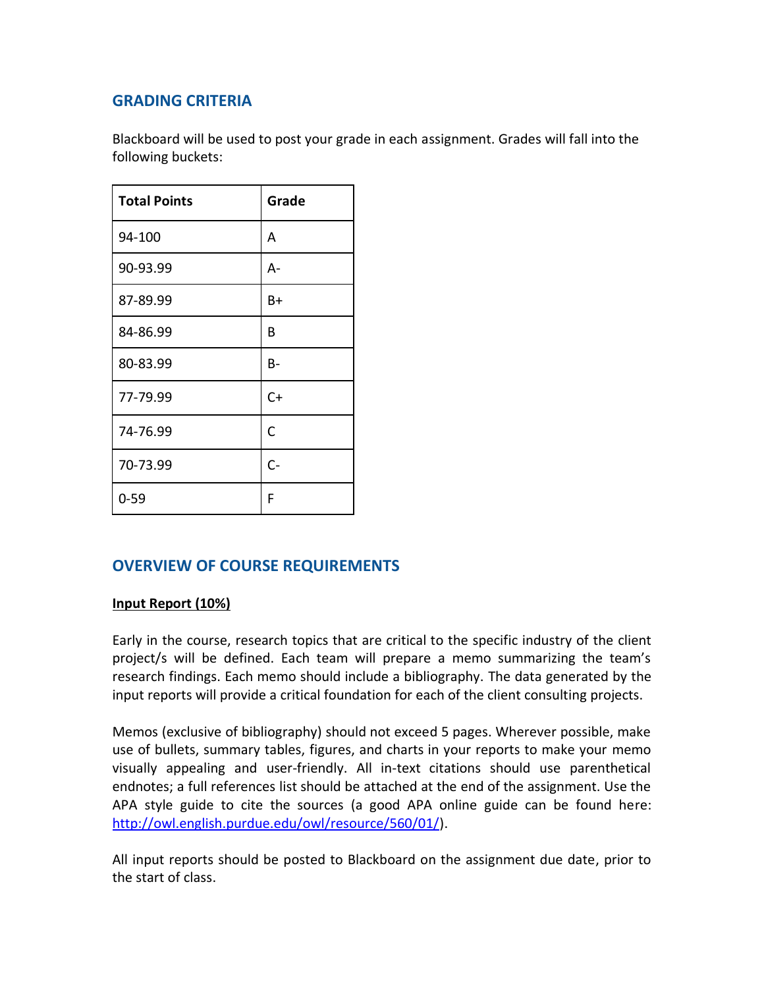# **GRADING CRITERIA**

Blackboard will be used to post your grade in each assignment. Grades will fall into the following buckets:

| <b>Total Points</b> | Grade |
|---------------------|-------|
| 94-100              | Α     |
| 90-93.99            | A-    |
| 87-89.99            | B+    |
| 84-86.99            | В     |
| 80-83.99            | B-    |
| 77-79.99            | $C+$  |
| 74-76.99            | C     |
| 70-73.99            | $C -$ |
| 0-59                | F     |

# **OVERVIEW OF COURSE REQUIREMENTS**

### **Input Report (10%)**

Early in the course, research topics that are critical to the specific industry of the client project/s will be defined. Each team will prepare a memo summarizing the team's research findings. Each memo should include a bibliography. The data generated by the input reports will provide a critical foundation for each of the client consulting projects.

Memos (exclusive of bibliography) should not exceed 5 pages. Wherever possible, make use of bullets, summary tables, figures, and charts in your reports to make your memo visually appealing and user-friendly. All in-text citations should use parenthetical endnotes; a full references list should be attached at the end of the assignment. Use the APA style guide to cite the sources (a good APA online guide can be found here: [http://owl.english.purdue.edu/owl/resource/560/01/\)](http://owl.english.purdue.edu/owl/resource/560/01/).

All input reports should be posted to Blackboard on the assignment due date, prior to the start of class.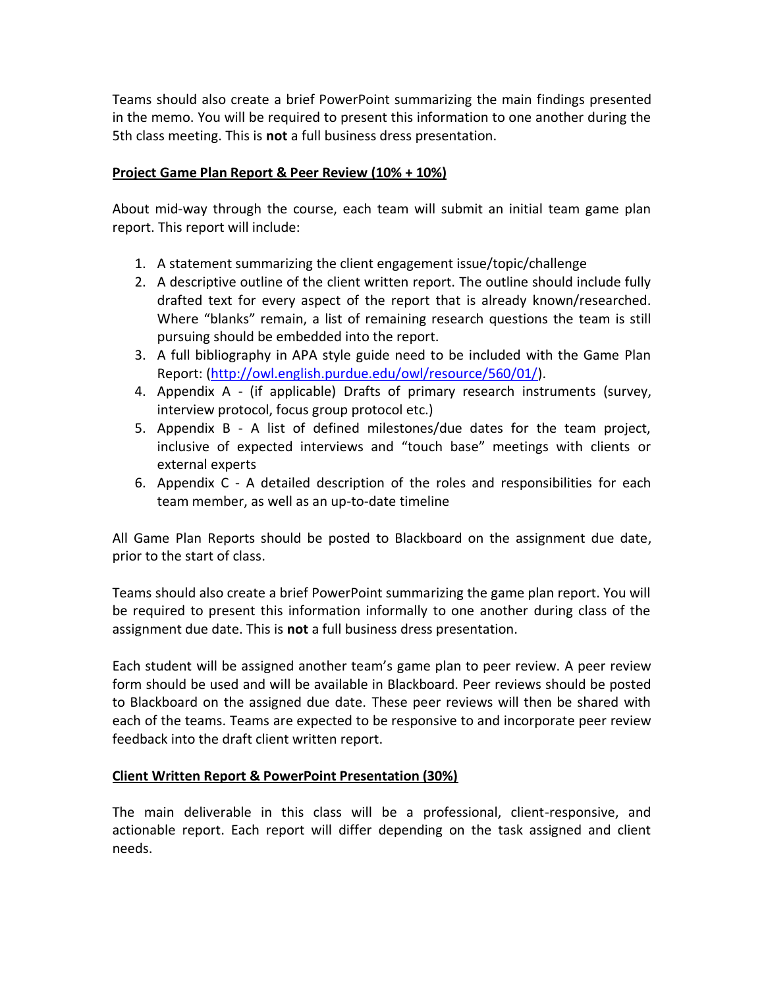Teams should also create a brief PowerPoint summarizing the main findings presented in the memo. You will be required to present this information to one another during the 5th class meeting. This is **not** a full business dress presentation.

### **Project Game Plan Report & Peer Review (10% + 10%)**

About mid-way through the course, each team will submit an initial team game plan report. This report will include:

- 1. A statement summarizing the client engagement issue/topic/challenge
- 2. A descriptive outline of the client written report. The outline should include fully drafted text for every aspect of the report that is already known/researched. Where "blanks" remain, a list of remaining research questions the team is still pursuing should be embedded into the report.
- 3. A full bibliography in APA style guide need to be included with the Game Plan Report: [\(http://owl.english.purdue.edu/owl/resource/560/01/\)](http://owl.english.purdue.edu/owl/resource/560/01/).
- 4. Appendix A (if applicable) Drafts of primary research instruments (survey, interview protocol, focus group protocol etc.)
- 5. Appendix B A list of defined milestones/due dates for the team project, inclusive of expected interviews and "touch base" meetings with clients or external experts
- 6. Appendix C A detailed description of the roles and responsibilities for each team member, as well as an up-to-date timeline

All Game Plan Reports should be posted to Blackboard on the assignment due date, prior to the start of class.

Teams should also create a brief PowerPoint summarizing the game plan report. You will be required to present this information informally to one another during class of the assignment due date. This is **not** a full business dress presentation.

Each student will be assigned another team's game plan to peer review. A peer review form should be used and will be available in Blackboard. Peer reviews should be posted to Blackboard on the assigned due date. These peer reviews will then be shared with each of the teams. Teams are expected to be responsive to and incorporate peer review feedback into the draft client written report.

### **Client Written Report & PowerPoint Presentation (30%)**

The main deliverable in this class will be a professional, client-responsive, and actionable report. Each report will differ depending on the task assigned and client needs.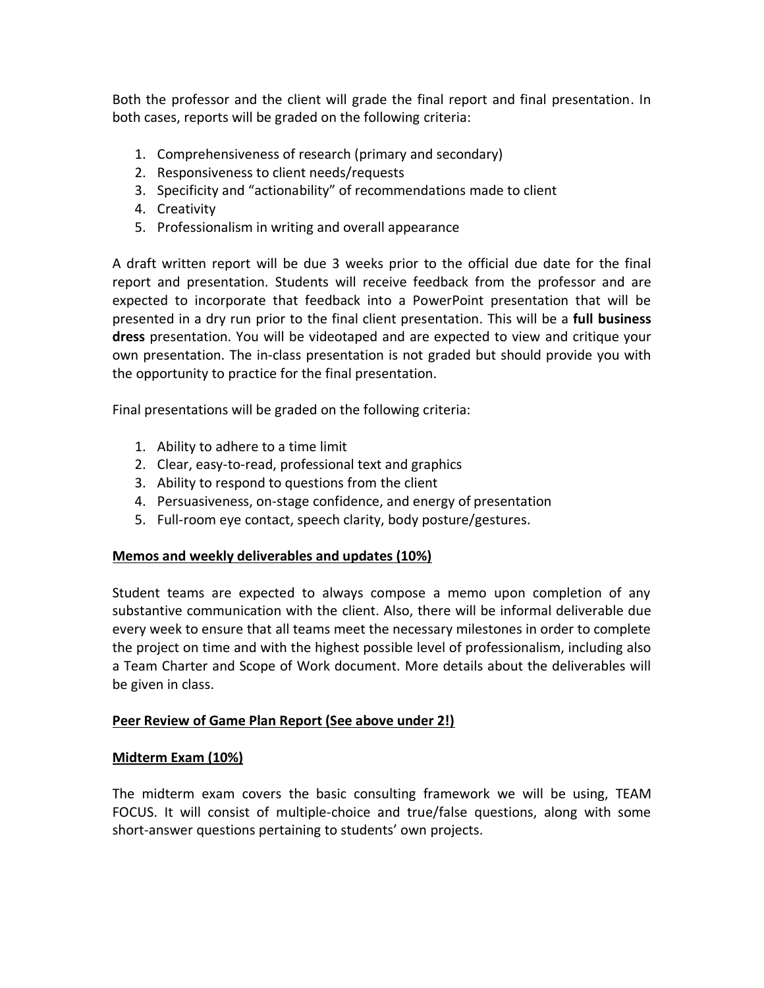Both the professor and the client will grade the final report and final presentation. In both cases, reports will be graded on the following criteria:

- 1. Comprehensiveness of research (primary and secondary)
- 2. Responsiveness to client needs/requests
- 3. Specificity and "actionability" of recommendations made to client
- 4. Creativity
- 5. Professionalism in writing and overall appearance

A draft written report will be due 3 weeks prior to the official due date for the final report and presentation. Students will receive feedback from the professor and are expected to incorporate that feedback into a PowerPoint presentation that will be presented in a dry run prior to the final client presentation. This will be a **full business dress** presentation. You will be videotaped and are expected to view and critique your own presentation. The in-class presentation is not graded but should provide you with the opportunity to practice for the final presentation.

Final presentations will be graded on the following criteria:

- 1. Ability to adhere to a time limit
- 2. Clear, easy-to-read, professional text and graphics
- 3. Ability to respond to questions from the client
- 4. Persuasiveness, on-stage confidence, and energy of presentation
- 5. Full-room eye contact, speech clarity, body posture/gestures.

### **Memos and weekly deliverables and updates (10%)**

Student teams are expected to always compose a memo upon completion of any substantive communication with the client. Also, there will be informal deliverable due every week to ensure that all teams meet the necessary milestones in order to complete the project on time and with the highest possible level of professionalism, including also a Team Charter and Scope of Work document. More details about the deliverables will be given in class.

### **Peer Review of Game Plan Report (See above under 2!)**

### **Midterm Exam (10%)**

The midterm exam covers the basic consulting framework we will be using, TEAM FOCUS. It will consist of multiple-choice and true/false questions, along with some short-answer questions pertaining to students' own projects.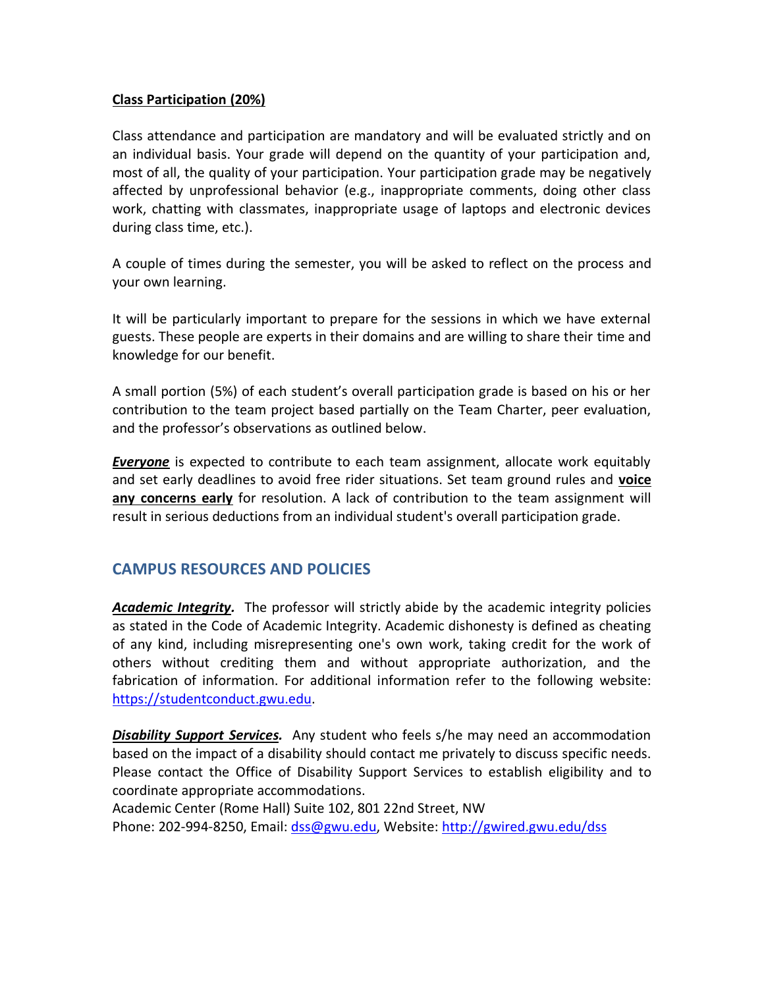### **Class Participation (20%)**

Class attendance and participation are mandatory and will be evaluated strictly and on an individual basis. Your grade will depend on the quantity of your participation and, most of all, the quality of your participation. Your participation grade may be negatively affected by unprofessional behavior (e.g., inappropriate comments, doing other class work, chatting with classmates, inappropriate usage of laptops and electronic devices during class time, etc.).

A couple of times during the semester, you will be asked to reflect on the process and your own learning.

It will be particularly important to prepare for the sessions in which we have external guests. These people are experts in their domains and are willing to share their time and knowledge for our benefit.

A small portion (5%) of each student's overall participation grade is based on his or her contribution to the team project based partially on the Team Charter, peer evaluation, and the professor's observations as outlined below.

*Everyone* is expected to contribute to each team assignment, allocate work equitably and set early deadlines to avoid free rider situations. Set team ground rules and **voice any concerns early** for resolution. A lack of contribution to the team assignment will result in serious deductions from an individual student's overall participation grade.

# **CAMPUS RESOURCES AND POLICIES**

*Academic Integrity.* The professor will strictly abide by the academic integrity policies as stated in the Code of Academic Integrity. Academic dishonesty is defined as cheating of any kind, including misrepresenting one's own work, taking credit for the work of others without crediting them and without appropriate authorization, and the fabrication of information. For additional information refer to the following website: [https://studentconduct.gwu.edu.](https://studentconduct.gwu.edu/)

*Disability Support Services.* Any student who feels s/he may need an accommodation based on the impact of a disability should contact me privately to discuss specific needs. Please contact the Office of Disability Support Services to establish eligibility and to coordinate appropriate accommodations.

Academic Center (Rome Hall) Suite 102, 801 22nd Street, NW Phone: 202-994-8250, Email: [dss@gwu.edu,](mailto:dss@gwu.edu) Website:<http://gwired.gwu.edu/dss>